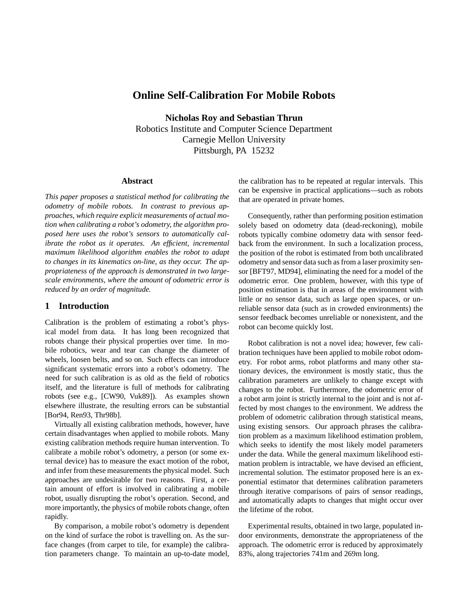# **Online Self-Calibration For Mobile Robots**

**Nicholas Roy and Sebastian Thrun** Robotics Institute and Computer Science Department Carnegie Mellon University Pittsburgh, PA 15232

#### **Abstract**

*This paper proposes a statistical method for calibrating the odometry of mobile robots. In contrast to previous approaches, which require explicit measurements of actual motion when calibrating a robot's odometry, the algorithm proposed here uses the robot's sensors to automatically calibrate the robot as it operates. An efficient, incremental maximum likelihood algorithm enables the robot to adapt to changes in its kinematics on-line, as they occur. The appropriateness of the approach is demonstrated in two largescale environments, where the amount of odometric error is reduced by an order of magnitude.*

# **1 Introduction**

Calibration is the problem of estimating a robot's physical model from data. It has long been recognized that robots change their physical properties over time. In mobile robotics, wear and tear can change the diameter of wheels, loosen belts, and so on. Such effects can introduce significant systematic errors into a robot's odometry. The need for such calibration is as old as the field of robotics itself, and the literature is full of methods for calibrating robots (see e.g., [CW90, Vuk89]). As examples shown elsewhere illustrate, the resulting errors can be substantial [Bor94, Ren93, Thr98b].

Virtually all existing calibration methods, however, have certain disadvantages when applied to mobile robots. Many existing calibration methods require human intervention. To calibrate a mobile robot's odometry, a person (or some external device) has to measure the exact motion of the robot, and infer from these measurements the physical model. Such approaches are undesirable for two reasons. First, a certain amount of effort is involved in calibrating a mobile robot, usually disrupting the robot's operation. Second, and more importantly, the physics of mobile robots change, often rapidly.

By comparison, a mobile robot's odometry is dependent on the kind of surface the robot is travelling on. As the surface changes (from carpet to tile, for example) the calibration parameters change. To maintain an up-to-date model, the calibration has to be repeated at regular intervals. This can be expensive in practical applications—such as robots that are operated in private homes.

Consequently, rather than performing position estimation solely based on odometry data (dead-reckoning), mobile robots typically combine odometry data with sensor feedback from the environment. In such a localization process, the position of the robot is estimated from both uncalibrated odometry and sensor data such asfrom a laser proximity sensor [BFT97, MD94], eliminating the need for a model of the odometric error. One problem, however, with this type of position estimation is that in areas of the environment with little or no sensor data, such as large open spaces, or unreliable sensor data (such as in crowded environments) the sensor feedback becomes unreliable or nonexistent, and the robot can become quickly lost.

Robot calibration is not a novel idea; however, few calibration techniques have been applied to mobile robot odometry. For robot arms, robot platforms and many other stationary devices, the environment is mostly static, thus the calibration parameters are unlikely to change except with changes to the robot. Furthermore, the odometric error of a robot arm joint is strictly internal to the joint and is not affected by most changes to the environment. We address the problem of odometric calibration through statistical means, using existing sensors. Our approach phrases the calibration problem as a maximum likelihood estimation problem, which seeks to identify the most likely model parameters under the data. While the general maximum likelihood estimation problem is intractable, we have devised an efficient, incremental solution. The estimator proposed here is an exponential estimator that determines calibration parameters through iterative comparisons of pairs of sensor readings, and automatically adapts to changes that might occur over the lifetime of the robot.

Experimental results, obtained in two large, populated indoor environments, demonstrate the appropriateness of the approach. The odometric error is reduced by approximately 83%, along trajectories 741m and 269m long.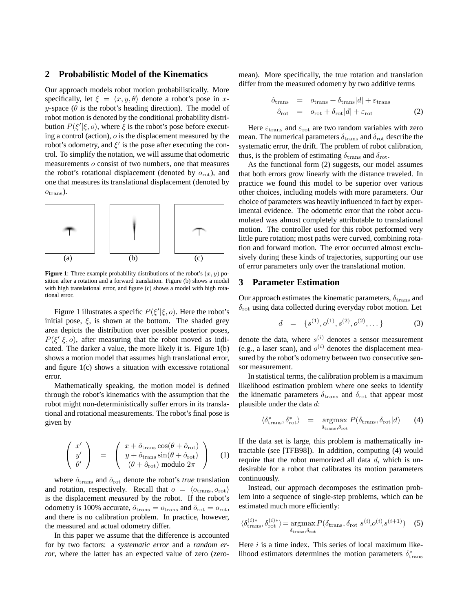### **2 Probabilistic Model of the Kinematics**

Our approach models robot motion probabilistically. More specifically, let  $\xi = \langle x, y, \theta \rangle$  denote a robot's pose in xy-space ( $\theta$  is the robot's heading direction). The model of robot motion is denoted by the conditional probability distribution  $P(\xi'|\xi, o)$ , where  $\xi$  is the robot's pose before executing a control (action), o is the displacement measured by the robot's odometry, and  $\xi'$  is the pose after executing the control. To simplify the notation, we will assume that odometric measurements o consist of two numbers, one that measures the robot's rotational displacement (denoted by  $o_{\text{rot}}$ ), and one that measures its translational displacement (denoted by  $o_{trans}$ ).



**Figure 1**: Three example probability distributions of the robot's  $(x, y)$  position after a rotation and a forward translation. Figure (b) shows a model with high translational error, and figure (c) shows a model with high rotational error.

Figure 1 illustrates a specific  $P(\xi'|\xi, o)$ . Here the robot's initial pose,  $\xi$ , is shown at the bottom. The shaded grey area depicts the distribution over possible posterior poses,  $P(\xi'|\xi, o)$ , after measuring that the robot moved as indicated. The darker a value, the more likely it is. Figure 1(b) shows a motion model that assumes high translational error, and figure 1(c) shows a situation with excessive rotational error.

Mathematically speaking, the motion model is defined through the robot's kinematics with the assumption that the robot might non-deterministically suffer errors in its translational and rotational measurements. The robot's final pose is given by

$$
\begin{pmatrix}\nx' \\
y' \\
\theta'\n\end{pmatrix} = \begin{pmatrix}\nx + \hat{o}_{\text{trans}}\cos(\theta + \hat{o}_{\text{rot}}) \\
y + \hat{o}_{\text{trans}}\sin(\theta + \hat{o}_{\text{rot}}) \\
(\theta + \hat{o}_{\text{rot}})\text{ modulo }2\pi\n\end{pmatrix}
$$
\n(1)

where  $\hat{o}_{trans}$  and  $\hat{o}_{rot}$  denote the robot's *true* translation and rotation, respectively. Recall that  $o = \langle o_{\text{trans}}, o_{\text{rot}} \rangle$ is the displacement *measured* by the robot. If the robot's odometry is 100% accurate,  $\hat{o}_{trans} = o_{trans}$  and  $\hat{o}_{rot} = o_{rot}$ , and there is no calibration problem. In practice, however, the measured and actual odometry differ.

In this paper we assume that the difference is accounted for by two factors: a *systematic error* and a *random error*, where the latter has an expected value of zero (zeromean). More specifically, the true rotation and translation differ from the measured odometry by two additive terms

$$
\hat{o}_{\text{trans}} = o_{\text{trans}} + \delta_{\text{trans}} |d| + \varepsilon_{\text{trans}}
$$
  
\n
$$
\hat{o}_{\text{rot}} = o_{\text{rot}} + \delta_{\text{rot}} |d| + \varepsilon_{\text{rot}}
$$
 (2)

Here  $\varepsilon_{\text{trans}}$  and  $\varepsilon_{\text{rot}}$  are two random variables with zero mean. The numerical parameters  $\delta_{\text{trans}}$  and  $\delta_{\text{rot}}$  describe the systematic error, the drift. The problem of robot calibration, thus, is the problem of estimating  $\delta_{\rm trans}$  and  $\delta_{\rm rot}$ .

As the functional form (2) suggests, our model assumes that both errors grow linearly with the distance traveled. In practice we found this model to be superior over various other choices, including models with more parameters. Our choice of parameters was heavily influenced in fact by experimental evidence. The odometric error that the robot accumulated was almost completely attributable to translational motion. The controller used for this robot performed very little pure rotation; most paths were curved, combining rotation and forward motion. The error occurred almost exclusively during these kinds of trajectories, supporting our use of error parameters only over the translational motion.

### **3 Parameter Estimation**

Our approach estimates the kinematic parameters,  $\delta_{\text{trans}}$  and  $\delta_{\rm rot}$  using data collected during everyday robot motion. Let

$$
d = \{s^{(1)}, o^{(1)}, s^{(2)}, o^{(2)}, \dots\}
$$
 (3)

denote the data, where  $s^{(i)}$  denotes a sensor measurement (e.g., a laser scan), and  $o^{(i)}$  denotes the displacement measured by the robot's odometry between two consecutive sensor measurement.

In statistical terms, the calibration problem is a maximum likelihood estimation problem where one seeks to identify the kinematic parameters  $\delta_{trans}$  and  $\delta_{rot}$  that appear most plausible under the data d:

$$
\langle \delta_{\text{trans}}^*, \delta_{\text{rot}}^* \rangle = \underset{\delta_{\text{trans}}, \delta_{\text{rot}}}{\text{argmax}} P(\delta_{\text{trans}}, \delta_{\text{rot}} | d) \qquad (4)
$$

If the data set is large, this problem is mathematically intractable (see [TFB98]). In addition, computing (4) would require that the robot memorized all data  $d$ , which is undesirable for a robot that calibrates its motion parameters continuously.

Instead, our approach decomposes the estimation problem into a sequence of single-step problems, which can be estimated much more efficiently:

$$
\langle \delta_{\text{trans}}^{(i)*}, \delta_{\text{rot}}^{(i)*} \rangle = \underset{\delta_{\text{trans}}, \delta_{\text{rot}}}{\text{argmax}} P(\delta_{\text{trans}}, \delta_{\text{rot}} | s^{(i)}, o^{(i)}, s^{(i+1)}) \quad (5)
$$

Here  $i$  is a time index. This series of local maximum likelihood estimators determines the motion parameters  $\delta^*_{trans}$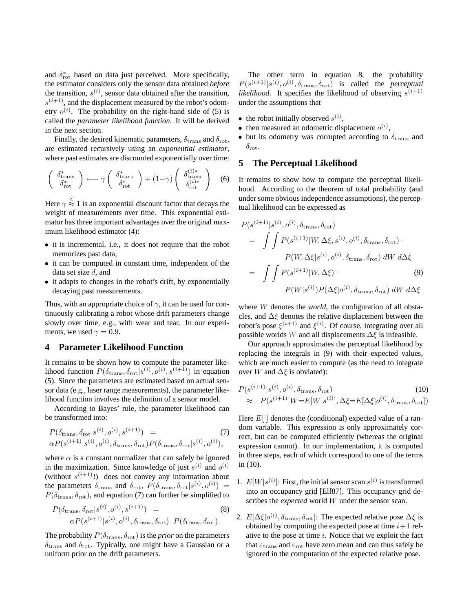and  $\delta_{\rm rot}^{*}$  based on data just perceived. More specifically, the estimator considers only the sensor data obtained *before* the transition,  $s^{(i)}$ , sensor data obtained after the transition,  $s^{(i+1)}$ , and the displacement measured by the robot's odometry  $o^{(i)}$ . The probability on the right-hand side of (5) is called the *parameter likelihood function*. It will be derived in the next section.

Finally, the desired kinematic parameters,  $\delta_{\rm trans}$  and  $\delta_{\rm rot}$ , are estimated recursively using an *exponential estimator*, where past estimates are discounted exponentially over time:

$$
\begin{pmatrix}\n\delta_{\text{trans}}^* \\
\delta_{\text{rot}}^*\n\end{pmatrix} \longleftarrow \gamma \begin{pmatrix}\n\delta_{\text{trans}}^* \\
\delta_{\text{rot}}^*\n\end{pmatrix} + (1-\gamma) \begin{pmatrix}\n\delta_{\text{trans}}^{(i)*} \\
\delta_{\text{rot}}^{(i)*}\n\end{pmatrix} (6)
$$

Here  $\gamma \stackrel{\leq}{\approx} 1$  is an exponential discount factor that decays the weight of measurements over time. This exponential estimator has three important advantages over the original maximum likelihood estimator (4):

- it is incremental, i.e., it does not require that the robot memorizes past data,
- it can be computed in constant time, independent of the data set size d, and
- it adapts to changes in the robot's drift, by exponentially decaying past measurements.

Thus, with an appropriate choice of  $\gamma$ , it can be used for continuously calibrating a robot whose drift parameters change slowly over time, e.g., with wear and tear. In our experiments, we used  $\gamma = 0.9$ .

# **4 Parameter Likelihood Function**

It remains to be shown how to compute the parameter likelihood function  $P(\delta_{trans}, \delta_{rot}|s^{(i)}, o^{(i)}, s^{(i+1)})$  in equation (5). Since the parameters are estimated based on actual sensor data (e.g., laser range measurements), the parameter likelihood function involves the definition of a sensor model.

According to Bayes' rule, the parameter likelihood can be transformed into:

$$
P(\delta_{\text{trans}}, \delta_{\text{rot}} | s^{(i)}, o^{(i)}, s^{(i+1)}) = \n\alpha P(s^{(i+1)} | s^{(i)}, o^{(i)}, \delta_{\text{trans}}, \delta_{\text{rot}}) P(\delta_{\text{trans}}, \delta_{\text{rot}} | s^{(i)}, o^{(i)}),
$$
\n(7)

where  $\alpha$  is a constant normalizer that can safely be ignored in the maximization. Since knowledge of just  $s^{(i)}$  and  $o^{(i)}$ (without  $s^{(i+1)}$ !) does not convey any information about the parameters  $\delta_{\text{trans}}$  and  $\delta_{\text{rot}}$ ,  $P(\delta_{\text{trans}}, \delta_{\text{rot}} | s^{(i)}, o^{(i)}) =$  $P(\delta_{\text{trans}}, \delta_{\text{rot}})$ , and equation (7) can further be simplified to

$$
P(\delta_{\text{trans}}, \delta_{\text{rot}} | s^{(i)}, o^{(i)}, s^{(i+1)}) = \alpha P(s^{(i+1)} | s^{(i)}, o^{(i)}, \delta_{\text{trans}}, \delta_{\text{rot}}) P(\delta_{\text{trans}}, \delta_{\text{rot}}).
$$
\n(8)

The probability  $P(\delta_{\text{trans}}, \delta_{\text{rot}})$  is the *prior* on the parameters  $\delta_{\text{trans}}$  and  $\delta_{\text{rot}}$ . Typically, one might have a Gaussian or a uniform prior on the drift parameters.

The other term in equation 8, the probability  $P(s^{(i+1)}|s^{(i)}, o^{(i)}, \delta_{\text{trans}}, \delta_{\text{rot}})$  is called the *perceptual likelihood*. It specifies the likelihood of observing  $s^{(i+1)}$ under the assumptions that

- the robot initially observed  $s^{(i)}$ ,
- then measured an odometric displacement  $o^{(i)}$ ,
- but its odometry was corrupted according to  $\delta_{\text{trans}}$  and  $\delta_{\rm rot}$ .

# **5 The Perceptual Likelihood**

It remains to show how to compute the perceptual likelihood. According to the theorem of total probability (and under some obvious independence assumptions), the perceptual likelihood can be expressed as

$$
P(s^{(i+1)}|s^{(i)}, o^{(i)}, \delta_{\text{trans}}, \delta_{\text{rot}})
$$
  
= 
$$
\int \int P(s^{(i+1)}|W, \Delta \xi, s^{(i)}, o^{(i)}, \delta_{\text{trans}}, \delta_{\text{rot}}) \cdot
$$
  

$$
P(W, \Delta \xi|s^{(i)}, o^{(i)}, \delta_{\text{trans}}, \delta_{\text{rot}}) dW d\Delta \xi
$$
  
= 
$$
\int \int P(s^{(i+1)}|W, \Delta \xi) \cdot
$$
 (9)  

$$
P(W|s^{(i)})P(\Delta \xi|o^{(i)}, \delta_{\text{trans}}, \delta_{\text{rot}}) dW d\Delta \xi
$$

where W denotes the *world*, the configuration of all obstacles, and ∆ξ denotes the relative displacement between the robot's pose  $\xi^{(i+1)}$  and  $\xi^{(i)}$ . Of course, integrating over all possible worlds W and all displacements  $\Delta \xi$  is infeasible.

Our approach approximates the perceptual likelihood by replacing the integrals in (9) with their expected values, which are much easier to compute (as the need to integrate over W and  $\Delta \xi$  is obviated):

$$
P(s^{(i+1)}|s^{(i)}, o^{(i)}, \delta_{\text{trans}}, \delta_{\text{rot}})
$$
\n
$$
\approx P(s^{(i+1)}|W=E[W|s^{(i)}], \Delta\xi=E[\Delta\xi|o^{(i)}, \delta_{\text{trans}}, \delta_{\text{rot}}])
$$
\n(10)

Here  $E[\ ]$  denotes the (conditional) expected value of a random variable. This expression is only approximately correct, but can be computed efficiently (whereas the original expression cannot). In our implementation, it is computed in three steps, each of which correspond to one of the terms in (10).

- 1.  $E[W|s^{(i)}]$ : First, the initial sensor scan  $s^{(i)}$  is transformed into an occupancy grid [Elf87]. This occupancy grid describes the *expected* world W under the sensor scan.
- 2.  $E[\Delta \xi | o^{(i)}, \delta_{trans}, \delta_{rot}]$ : The expected relative pose  $\Delta \xi$  is obtained by computing the expected pose at time  $i+1$  relative to the pose at time  $i$ . Notice that we exploit the fact that  $\varepsilon_{\text{trans}}$  and  $\varepsilon_{\text{rot}}$  have zero mean and can thus safely be ignored in the computation of the expected relative pose.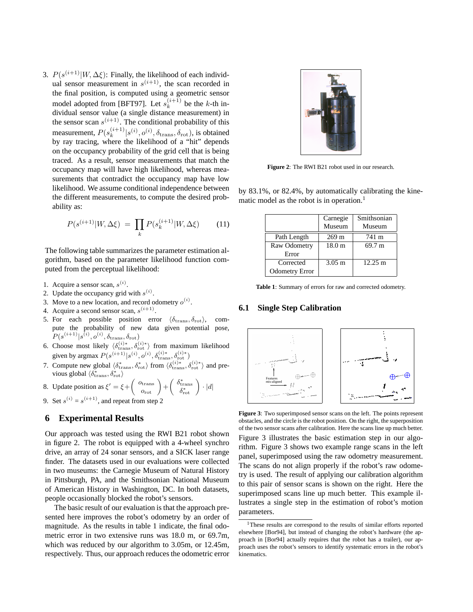3.  $P(s^{(i+1)}|W, \Delta \xi)$ : Finally, the likelihood of each individual sensor measurement in  $s^{(i+1)}$ , the scan recorded in the final position, is computed using a geometric sensor model adopted from [BFT97]. Let  $s_k^{(i+1)}$  $k^{(i+1)}$  be the k-th individual sensor value (a single distance measurement) in the sensor scan  $s^{(i+1)}$ . The conditional probability of this measurement,  $P(s_k^{(i+1)})$  $\binom{(i+1)}{k}$   $(s^{(i)}, o^{(i)}, \delta_{\text{trans}}, \delta_{\text{rot}})$ , is obtained by ray tracing, where the likelihood of a "hit" depends on the occupancy probability of the grid cell that is being traced. As a result, sensor measurements that match the occupancy map will have high likelihood, whereas measurements that contradict the occupancy map have low likelihood. We assume conditional independence between the different measurements, to compute the desired probability as:

$$
P(s^{(i+1)}|W,\Delta\xi) = \prod_{k} P(s_k^{(i+1)}|W,\Delta\xi)
$$
 (11)

The following table summarizes the parameter estimation algorithm, based on the parameter likelihood function computed from the perceptual likelihood:

- 1. Acquire a sensor scan,  $s^{(i)}$ .
- 2. Update the occupancy grid with  $s^{(i)}$ .
- 3. Move to a new location, and record odometry  $o^{(i)}$ .
- 4. Acquire a second sensor scan,  $s^{(i+1)}$ .
- 5. For each possible position error  $\langle \delta_{\text{trans}}, \delta_{\text{rot}} \rangle$ , compute the probability of new data given potential pose,  $P(s^{(i+1)}|s^{(i)},o^{(i)},\delta_{\mathrm{trans}},\delta_{\mathrm{rot}})$
- 6. Choose most likely  $\langle \delta_{\text{trans}}^{(i)*}, \delta_{\text{rot}}^{(i)*} \rangle$  from maximum likelihood given by argmax  $P(s^{(i+1)} | s^{(i)}, o^{(i)}, \delta_{\text{trans}}^{(i)*}, \delta_{\text{rot}}^{(i)*})$
- 7. Compute new global  $\langle \delta_{\text{trans}}^*, \delta_{\text{rot}}^* \rangle$  from  $\langle \delta_{\text{trans}}^{(i)*}, \delta_{\text{rot}}^{(i)*} \rangle$  and previous global  $\langle \delta^*_{trans}, \delta^*_{rot} \rangle$

8. Update position as 
$$
\xi' = \xi + \begin{pmatrix} o_{\text{trans}} \\ o_{\text{rot}} \end{pmatrix} + \begin{pmatrix} \delta_{\text{trans}}^* \\ \delta_{\text{rot}}^* \end{pmatrix} \cdot |d|
$$

9. Set  $s^{(i)} = s^{(i+1)}$ , and repeat from step 2

#### **6 Experimental Results**

Our approach was tested using the RWI B21 robot shown in figure 2. The robot is equipped with a 4-wheel synchro drive, an array of 24 sonar sensors, and a SICK laser range finder. The datasets used in our evaluations were collected in two museums: the Carnegie Museum of Natural History in Pittsburgh, PA, and the Smithsonian National Museum of American History in Washington, DC. In both datasets, people occasionally blocked the robot's sensors.

The basic result of our evaluation is that the approach presented here improves the robot's odometry by an order of magnitude. As the results in table 1 indicate, the final odometric error in two extensive runs was 18.0 m, or 69.7m, which was reduced by our algorithm to 3.05m, or 12.45m, respectively. Thus, our approach reduces the odometric error



**Figure 2**: The RWI B21 robot used in our research.

by 83.1%, or 82.4%, by automatically calibrating the kinematic model as the robot is in operation.<sup>1</sup>

|                       | Carnegie          | Smithsonian       |
|-----------------------|-------------------|-------------------|
|                       | Museum            | Museum            |
| Path Length           | 269 m             | 741 m             |
| Raw Odometry          | 18.0 <sub>m</sub> | 69.7 m            |
| Error                 |                   |                   |
| Corrected             | $3.05 \text{ m}$  | $12.25 \text{ m}$ |
| <b>Odometry Error</b> |                   |                   |

**Table 1**: Summary of errors for raw and corrected odometry.

#### **6.1 Single Step Calibration**



**Figure 3**: Two superimposed sensor scans on the left. The points represent obstacles, and the circle is the robot position. On the right, the superposition of the two sensor scans after calibration. Here the scans line up much better. Figure 3 illustrates the basic estimation step in our algorithm. Figure 3 shows two example range scans in the left panel, superimposed using the raw odometry measurement. The scans do not align properly if the robot's raw odometry is used. The result of applying our calibration algorithm to this pair of sensor scans is shown on the right. Here the superimposed scans line up much better. This example illustrates a single step in the estimation of robot's motion parameters.

<sup>1</sup>These results are correspond to the results of similar efforts reported elsewhere [Bor94], but instead of changing the robot's hardware (the approach in [Bor94] actually requires that the robot has a trailer), our approach uses the robot's sensors to identify systematic errors in the robot's kinematics.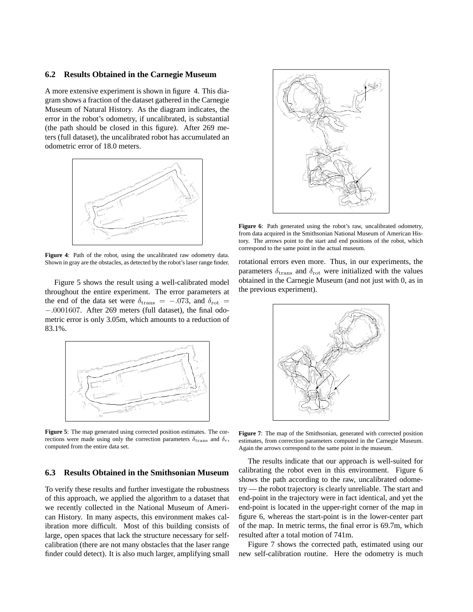#### **6.2 Results Obtained in the Carnegie Museum**

A more extensive experiment is shown in figure 4. This diagram shows a fraction of the dataset gathered in the Carnegie Museum of Natural History. As the diagram indicates, the error in the robot's odometry, if uncalibrated, is substantial (the path should be closed in this figure). After 269 meters (full dataset), the uncalibrated robot has accumulated an odometric error of 18.0 meters.



**Figure 4**: Path of the robot, using the uncalibrated raw odometry data. Shown in gray are the obstacles, as detected by the robot's laser range finder.

Figure 5 shows the result using a well-calibrated model throughout the entire experiment. The error parameters at the end of the data set were  $\delta_{\mathrm{trans}}$  = -.073, and  $\delta_{\mathrm{rot}}$  = −.0001607. After 269 meters (full dataset), the final odometric error is only 3.05m, which amounts to a reduction of 83.1%.



**Figure 5**: The map generated using corrected position estimates. The corrections were made using only the correction parameters  $\delta_{\text{trans}}$  and  $\delta_r$ , computed from the entire data set.

### **6.3 Results Obtained in the Smithsonian Museum**

To verify these results and further investigate the robustness of this approach, we applied the algorithm to a dataset that we recently collected in the National Museum of American History. In many aspects, this environment makes calibration more difficult. Most of this building consists of large, open spaces that lack the structure necessary for selfcalibration (there are not many obstacles that the laser range finder could detect). It is also much larger, amplifying small



Figure 6: Path generated using the robot's raw, uncalibrated odometry, from data acquired in the Smithsonian National Museum of American History. The arrows point to the start and end positions of the robot, which correspond to the same point in the actual museum.

rotational errors even more. Thus, in our experiments, the parameters  $\delta_{\text{trans}}$  and  $\delta_{\text{rot}}$  were initialized with the values obtained in the Carnegie Museum (and not just with 0, as in the previous experiment).



**Figure 7**: The map of the Smithsonian, generated with corrected position estimates, from correction parameters computed in the Carnegie Museum. Again the arrows correspond to the same point in the museum.

The results indicate that our approach is well-suited for calibrating the robot even in this environment. Figure 6 shows the path according to the raw, uncalibrated odometry — the robot trajectory is clearly unreliable. The start and end-point in the trajectory were in fact identical, and yet the end-point is located in the upper-right corner of the map in figure 6, whereas the start-point is in the lower-center part of the map. In metric terms, the final error is 69.7m, which resulted after a total motion of 741m.

Figure 7 shows the corrected path, estimated using our new self-calibration routine. Here the odometry is much